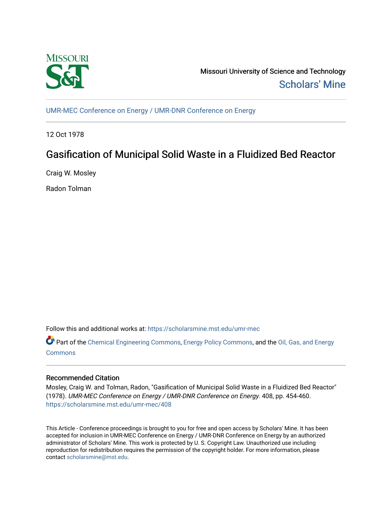

Missouri University of Science and Technology [Scholars' Mine](https://scholarsmine.mst.edu/) 

[UMR-MEC Conference on Energy / UMR-DNR Conference on Energy](https://scholarsmine.mst.edu/umr-mec)

12 Oct 1978

# Gasification of Municipal Solid Waste in a Fluidized Bed Reactor

Craig W. Mosley

Radon Tolman

Follow this and additional works at: [https://scholarsmine.mst.edu/umr-mec](https://scholarsmine.mst.edu/umr-mec?utm_source=scholarsmine.mst.edu%2Fumr-mec%2F408&utm_medium=PDF&utm_campaign=PDFCoverPages) 

Part of the [Chemical Engineering Commons](http://network.bepress.com/hgg/discipline/240?utm_source=scholarsmine.mst.edu%2Fumr-mec%2F408&utm_medium=PDF&utm_campaign=PDFCoverPages), [Energy Policy Commons,](http://network.bepress.com/hgg/discipline/1065?utm_source=scholarsmine.mst.edu%2Fumr-mec%2F408&utm_medium=PDF&utm_campaign=PDFCoverPages) and the [Oil, Gas, and Energy](http://network.bepress.com/hgg/discipline/171?utm_source=scholarsmine.mst.edu%2Fumr-mec%2F408&utm_medium=PDF&utm_campaign=PDFCoverPages)  [Commons](http://network.bepress.com/hgg/discipline/171?utm_source=scholarsmine.mst.edu%2Fumr-mec%2F408&utm_medium=PDF&utm_campaign=PDFCoverPages)

# Recommended Citation

Mosley, Craig W. and Tolman, Radon, "Gasification of Municipal Solid Waste in a Fluidized Bed Reactor" (1978). UMR-MEC Conference on Energy / UMR-DNR Conference on Energy. 408, pp. 454-460. [https://scholarsmine.mst.edu/umr-mec/408](https://scholarsmine.mst.edu/umr-mec/408?utm_source=scholarsmine.mst.edu%2Fumr-mec%2F408&utm_medium=PDF&utm_campaign=PDFCoverPages) 

This Article - Conference proceedings is brought to you for free and open access by Scholars' Mine. It has been accepted for inclusion in UMR-MEC Conference on Energy / UMR-DNR Conference on Energy by an authorized administrator of Scholars' Mine. This work is protected by U. S. Copyright Law. Unauthorized use including reproduction for redistribution requires the permission of the copyright holder. For more information, please contact [scholarsmine@mst.edu](mailto:scholarsmine@mst.edu).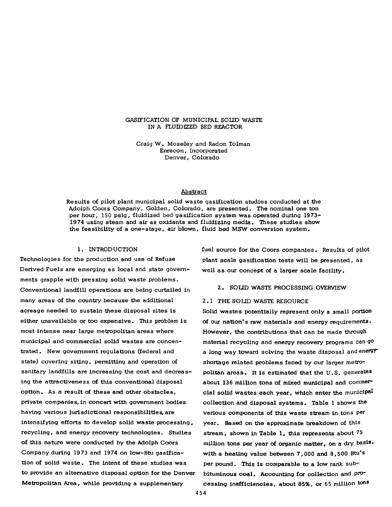#### GASIFICATION OF MUNICIPAL SOLID WASTE IN A FLUIDIZED BED REACTOR

Craig W. Moseley and Radon Tolman Enrecon, Incorporated Denver, Colorado

#### Abstract

Results of pilot plant municipal solid waste gasification studies conducted at the Adolph Coors Company, Golden, Colorado, are presented. The nominal one ton per hour, 150 psig, fluidized bed gasification system was operated during 1973- 1974 using steam and air as oxidants and fluidizing media. These studies show the feasibility of a one-stage, air blown, fluid bed MSW conversion system.

#### 1. INTRODUCTION

Technologies for the production and use of Refuse Derived Fuels are emerging as local and state governments grapple with pressing solid waste problems. Conventional landfill operations are being curtailed in many areas of the country because the additional acreage needed to sustain these disposal sites is either unavailable or too expensive. This problem is most intense near large metropolitan areas where municipal and commercial solid wastes are concentrated. New government regulations (federal and state) covering siting, permitting and operation of sanitary landfills are increasing the cost and decreasing the attractiveness of this conventional disposal option. As a result of these and other obstacles, private companies, in concert with government bodies having various Jurisdictional responsibilities, are intensifying efforts to develop solid waste processing, recycling, and energy recovery technologies. Studies of this nature were conducted by the Adolph Coors Company during 1973 and 1974 on low-Btu gasification of solid waste. The intent of these studies was to provide an alternative disposal option for the Denver Metropolitan Area, while providing a supplementary

fuel source for the Coors companies. Results of pilot plant scale gasification tests will be presented, as well as our concept of a larger scale facility.

#### 2. SOLID WASTE PROCESSING OVERVIEW

#### 2.1 THE SOLID WASTE RESOURCE

Solid wastes potentially represent only a small portion of our nation's raw materials and energy requirements. However, the contributions that can be made through material recycling and energy recovery programs can go a long way toward solving the waste disposal and energy shortage related problems faced by our larger metropolitan areas. It is estimated that the U .S. generates about 136 million tons of mixed municipal and commercial solid wastes each year, which enter the municipal collection and disposal systems. Table 1 shows the various components of this waste stream in tons per year. Based on the approximate breakdown of this stream, shown in Table 1, this represents about 75 million tons per year of organic matter, on a dry basis, with a heating value between 7,000 and 8,500 Btu's per pound. This is comparable to a low rank subbituminous coal. Accounting for collection and processing Inefficiencies, about 85%, or 65 million tons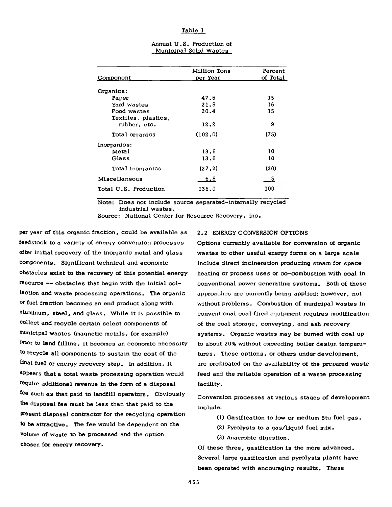#### **Table 1**

| Million Tons | Percent  |  |
|--------------|----------|--|
| per Year     | of Total |  |
|              |          |  |
| 47.6         | 35       |  |
| 21.8         | 16       |  |
| 20.4         | 15       |  |
|              |          |  |
| 12.2         | 9        |  |
| (102.0)      | (75)     |  |
|              |          |  |
| 13.6         | 10       |  |
| 13.6         | 10       |  |
| (27.2)       | (20)     |  |
| 6,8          | - 5      |  |
| 136.0        | 100      |  |
|              |          |  |

| Annual U.S. Production of     |  |  |
|-------------------------------|--|--|
| <u>Municipal Solid Wastes</u> |  |  |

Note: Does not include source separated-intemally recycled industrial wastes.

Source: National Center for Resource Recovery, Inc.

per year of this organic fraction, could be available as feedstock to a variety of energy conversion processes after initial recovery of the inorganic metal and glass components. Significant technical and economic obstacles exist to the recovery of this potential energy resource — obstacles that begin with the initial collection and waste processing operations. The organic or fuel fraction becomes an end product along with aluminum, steel, and glass. While it is possible to collect and recycle certain select components of municipal wastes (magnetic metals, for example) Prior to land filling, it becomes an economic necessity to recycle all components to sustain the cost of the final fuel or energy recovery step. In addition, it appears that a total waste processing operation would require additional revenue in the form of a disposal fee such as that paid to landfill operators. Obviously the disposal fee must be less than that paid to the Present disposal contractor for the recycling operation to be attractive. The fee would be dependent on the volume of waste to be processed and the option chosen for energy recovery.

#### 2.2 ENERGY CONVERSION OPTIONS

Options currently available for conversion of organic wastes to other useful energy forms on a large scale include direct incineration producing steam for space heating or process uses or co-combustion with coal in conventional power generating systems. Both of these approaches are currently being applied; however, not without problems. Combustion of municipal wastes in conventional coal fired equipment requires modification of the coal storage, conveying, and ash recovery systems. Organic wastes may be burned with coal up to about 20% without exceeding boiler design temperatures. These options, or others under development, are predicated on the availability of the prepared waste feed and the reliable operation of a waste processing facility.

Conversion processes at various stages of development include:

- (1) Gasification to low or medium Btu fuel gas.
- (2) Pyrolysis to a gas/liquid fuel mix.
- (3) Anaerobic digestion.

Of these three, gasification is the more advanced. Several large gasification and pyrolysis plants have been operated with encouraging results. These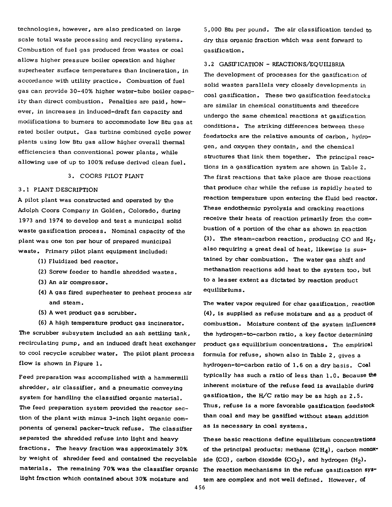technologies, however, are also predicated on large scale total waste processing and recycling systems. Combustion of fuel gas produced from wastes or coal allows higher pressure boiler operation and higher superheater surface temperatures than incineration, in accordance with utility practice. Combustion of fuel gas can provide 30-40% higher water-tube boiler capacity than direct combustion. Penalties are paid, however, in increases in induced-draft fan capacity and modifications to burners to accommodate low Btu gas at rated boiler output. Gas turbine combined cycle power plants using low Btu gas allow higher overall thermal efficiencies than conventional power plants, while allowing use of up to 100% refuse derived clean fuel.

### 3. COORS PILOT PLANT

# 3 .1 PLANT DESCRIPTION

A pilot plant was constructed and operated by the Adolph Coors Company in Golden, Colorado, during 1973 and 1974 to develop and test a municipal solid waste gasification process. Nominal capacity of the plant was one ton per hour of prepared municipal w aste. Primary pilot plant equipment included:

- ( 1) Fluidized bed reactor.
- (2) Screw feeder to handle shredded wastes.
- (3) An air compressor.
- (4) A gas fired superheater to preheat process air and steam.
- (5) A wet product gas scrubber.

(6 ) A high temperature product gas incinerator. The scrubber subsystem included an ash settling tank, recirculating pump, and an induced draft heat exchanger to cool recycle scrubber water. The pilot plant process flow is shown in Figure 1.

Feed preparation was accomplished with a hammermill shredder, air classifier, and a pneumatic conveying system for handling the classified organic material. The feed preparation system provided the reactor section of the plant with minus 3-inch light organic components of general packer-truck refuse. The classifier separated the shredded refuse into light and heavy fractions. The heavy fraction was approximately 30% by weight of shredder feed and contained the recyclable materials. The remaining 70% was the classifier organic light fraction which contained about 30% moisture and

5,000 Btu per pound. The air classification tended to dry this organic fraction which was sent forward to gasification.

3.2 GASIFICATION - REACTIONS/EQUILIBRIA

The development of processes for the gasification of solid wastes parallels very closely developments in coal gasification. These two gasification feedstocks are similar in chemical constituents and therefore undergo the same chemical reactions at gasification conditions. The striking differences between these feedstocks are the relative amounts of carbon, hydrogen, and oxygen they contain, and the chemical structures that link them together. The principal reactions in a gasification system are shown in Table 2. The first reactions that take place are those reactions that produce char while the refuse is rapidly heated to reaction temperature upon entering the fluid bed reactor. These endothermic pyrolysis and cracking reactions receive their heats of reaction primarily from the combustion of a portion of the char as shown in reaction (3) . The steam-carbon reaction, producing CO and H2 *<sup>&</sup>gt;* also requiring a great deal of heat, likewise is sustained by char combustion. The water gas shift and methanation reactions add heat to the system too, but to a lesser extent as dictated by reaction product equilibriums.

The water vapor required for char gasification, reaction (4) , is supplied as refuse moisture and as a product of combustion. Moisture content of the system influences the hydrogen-to-carbon ratio, a key factor determining product gas equilibrium concentrations. The empirical formula for refuse, shown also in Table 2 , gives a hydrogen-to-carbon ratio of 1.6 on a dry basis. Coal typically has such a ratio of less than 1.0. Because the inherent moisture of the refuse feed is available during gasification, the H/C ratio may be as high as  $2.5$ . Thus, refuse is a more favorable gasification feedstock than coal and may be gasified without steam addition as is necessary in coal systems.

These basic reactions define equilibrium concentrations of the principal products; methane  $(CH_4)$ , carbon monoxide (CO), carbon dioxide (CO<sub>2</sub>), and hydrogen  $(H_2)$ . The reaction mechanisms in the refuse gasification system are complex and not well defined. However, of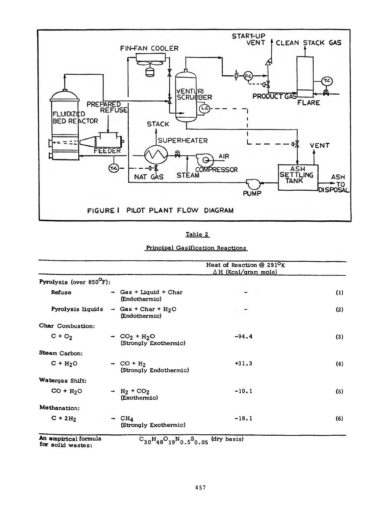

| Principal Gasification Reactions |  |
|----------------------------------|--|
|                                  |  |

|                         |               |                                                                           | Heat of Reaction @ 291 <sup>o</sup> K<br>$\Delta$ H (Kcal/gram mole) |     |
|-------------------------|---------------|---------------------------------------------------------------------------|----------------------------------------------------------------------|-----|
| Pyrolysis (over 850°F): |               |                                                                           |                                                                      |     |
| Refuse                  | $\rightarrow$ | Gas + Liquid + Char<br>(Endothermic)                                      |                                                                      | (1) |
| Pyrolysis liquids       |               | $\rightarrow$ Gas + Char + H <sub>2</sub> O<br>(Endothermic)              |                                                                      | (2) |
| Char Combustion:        |               |                                                                           |                                                                      |     |
| $C + O2$                |               | $\rightarrow$ CO <sub>2</sub> + H <sub>2</sub> O<br>(Strongly Exothermic) | $-94.4$                                                              | (3) |
| Steam Carbon:           |               |                                                                           |                                                                      |     |
| $C + H2O$               |               | $\rightarrow$ CO + H <sub>2</sub><br>(Strongly Endothermic)               | $+31.3$                                                              | (4) |
| Watergas Shift:         |               |                                                                           |                                                                      |     |
| $CO + H2O$              |               | $- H_2 + CO_2$<br>(Exothermic)                                            | $-10.1$                                                              | (5) |
| Methanation:            |               |                                                                           |                                                                      |     |
| $C + 2H2$               |               | CH <sub>4</sub><br>(Strongly Exothermic)                                  | $-18.1$                                                              | (6) |

for solid wastes:

 $f30^448^{\circ}19^{\prime\prime}0.5^{\prime\prime}0.05$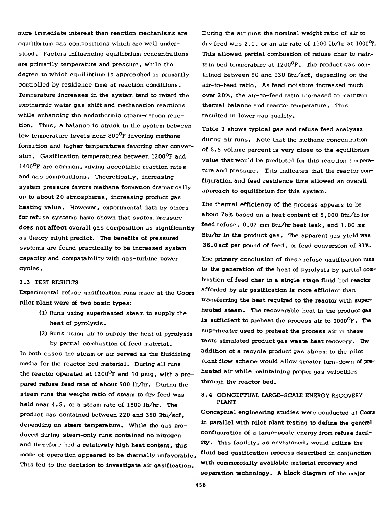more immediate interest than reaction mechanisms are equilibrium gas compositions which are well understood. Factors influencing equilibrium concentrations are primarily temperature and pressure, while the degree to which equilibrium is approached is primarily controlled by residence time at reaction conditions. Temperature increases in the system tend to retard the exothermic water gas shift and methanation reactions while enhancing the endothermic steam-carbon reaction. Thus, a balance is struck in the system between low temperature levels near 800<sup>°</sup>F favoring methane formation and higher temperatures favoring char conversion. Gasification temperatures between 1200°F and 1400<sup>o</sup>F are common, giving acceptable reaction rates and gas compositions. Theoretically, increasing system pressure favors methane formation dramatically up to about 20 atmospheres, increasing product gas heating value. However, experimental data by others for refuse systems have shown that system pressure does not affect overall gas composition as significantly as theory might predict. The benefits of pressured systems are found practically to be increased system capacity and compatability with gas-turbine power cy cles.

#### 3 .3 TEST RESULTS

Experimental refuse gasification runs made at the Coors pilot plant were of two basic types:

- (1) Runs using superheated steam to supply the heat of pyrolysis.
- (2) Runs using air to supply the heat of pyrolysis by partial combustion of feed material.

In both cases the steam or air served as the fluidizing media for the reactor bed material. During all runs the reactor operated at 1200°F and 10 psig, with a prepared refuse feed rate of about 500 lb/hr. During the steam runs the weight ratio of steam to dry feed was held near 4 .5 , or a steam rate of 1800 lb/hr. The product gas contained between 220 and 360 Btu/scf, depending on steam temperature. While the gas produced during steam-only runs contained no nitrogen and therefore had a relatively high heat content, this mode of operation appeared to be thermally unfavorable. This led to the decision to investigate air gasification.

During the air runs the nominal weight ratio of air to dry feed was  $2.0$ , or an air rate of  $1100$  lb/hr at  $1000^{\circ}$ F. This allowed partial combustion of refuse char to maintain bed temperature at  $1200^{\circ}$ F. The product gas contained between 80 and 130 Btu/scf, depending on the air-to-feed ratio. As feed moisture increased much over 20%, the air-to-feed ratio increased to maintain thermal balance and reactor temperature. This resulted in lower gas quality.

Table 3 shows typical gas and refuse feed analyses during air runs. Note that the methane concentration of 5.5 volume percent is very close to the equilibrium value that would be predicted for this reaction temperature and pressure. This indicates that the reactor configuration and feed residence time allowed an overall approach to equilibrium for this system.

The thermal efficiency of the process appears to be about 75% based on a heat content of 5,000 Btu/lb for feed refuse, 0.07 mm Btu/hr heat leak, and 1.80 mm Btu/hr in the product gas. The apparent gas yield was 36.0 scf per pound of feed, or feed conversion of 93%.

The primary conclusion of these refuse gasification runs is the generation of the heat of pyrolysis by partial combustion of feed char in a single stage fluid bed reactor afforded by air gasification is more efficient than transferring the heat required to the reactor with superheated steam. The recoverable heat in the product gas is sufficient to preheat the process air to  $1000^{\circ}$ F. The superheater used to preheat the process air in these tests simulated product gas waste heat recovery. The addition of a recycle product gas stream to the pilot plant flow scheme would allow greater turn-down of preheated air while maintaining proper gas velocities through the reactor bed.

# 3 .4 CONCEPTUAL LARGE-SCALE ENERGY RECOVERY PLANT

Conceptual engineering studies were conducted at Coors in parallel with pilot plant testing to define the general configuration of a large-scale energy from refuse facility. This facility, as envisioned, would utilize the fluid bed gasification process described in conjunction with commercially available material recovery and separation technology. A block diagram of the major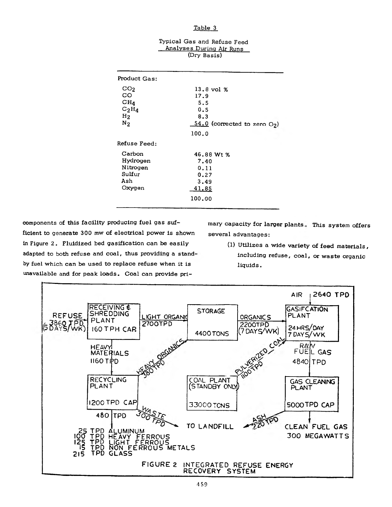# **Table 3**

# Typical Gas and Refuse Feed Analyses During Air Runs (Dry Basis)

| Product Gas:                                                                    |                                                                                 |
|---------------------------------------------------------------------------------|---------------------------------------------------------------------------------|
| CO <sub>2</sub><br>CO<br>CH <sub>4</sub><br>$C_2H_4$<br>H <sub>2</sub><br>$N_2$ | $13.8$ vol $%$<br>17.9<br>5.5<br>0.5<br>8.3<br>$54.0$ (corrected to zero $O2$ ) |
|                                                                                 | 100.0                                                                           |
| Refuse Feed:                                                                    |                                                                                 |
| Carbon<br>Hydrogen<br>Nitrogen<br>Sulfur<br>Ash<br>Oxygen                       | 46.88 Wt %<br>7.40<br>0.11<br>0.27<br>3,49<br>41.85                             |
|                                                                                 | 100.00                                                                          |

components of this facility producing fuel gas sufficient to generate 300 mw of electrical power is shown in Figure 2. Fluidized bed gasification can be easily adapted to both refuse and coal, thus providing a standby fuel which can be used to replace refuse when it is unavailable and for peak loads. Coal can provide pri-

mary capacity for larger plants, This system offers several advantages:

> (1) Utilizes a wide variety of feed materials, including refuse, coal, or waste organic liquids.